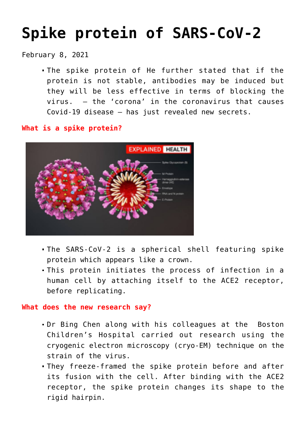# **[Spike protein of SARS-CoV-2](https://journalsofindia.com/spike-protein-of-sars-cov-2/)**

February 8, 2021

The spike protein of He further stated that if the protein is not stable, antibodies may be induced but they will be less effective in terms of blocking the virus. — the 'corona' in the coronavirus that causes Covid-19 disease — has just revealed new secrets.

**What is a spike protein?**



- The SARS-CoV-2 is a spherical shell featuring spike protein which appears like a crown.
- This protein initiates the process of infection in a human cell by attaching itself to the ACE2 receptor, before replicating.

# **What does the new research say?**

- Dr Bing Chen along with his colleagues at the Boston Children's Hospital carried out research using the cryogenic electron microscopy (cryo-EM) technique on the strain of the virus.
- They freeze-framed the spike protein before and after its fusion with the cell. After binding with the ACE2 receptor, the spike protein changes its shape to the rigid hairpin.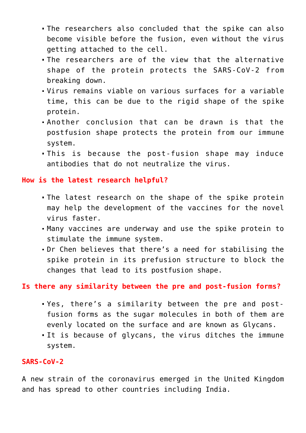- The researchers also concluded that the spike can also become visible before the fusion, even without the virus getting attached to the cell.
- The researchers are of the view that the alternative shape of the protein protects the SARS-CoV-2 from breaking down.
- Virus remains viable on various surfaces for a variable time, this can be due to the rigid shape of the spike protein.
- Another conclusion that can be drawn is that the postfusion shape protects the protein from our immune system.
- This is because the post-fusion shape may induce antibodies that do not neutralize the virus.

### **How is the latest research helpful?**

- The latest research on the shape of the spike protein may help the development of the vaccines for the novel virus faster.
- Many vaccines are underway and use the spike protein to stimulate the immune system.
- Dr Chen believes that there's a need for stabilising the spike protein in its prefusion structure to block the changes that lead to its postfusion shape.

# **Is there any similarity between the pre and post-fusion forms?**

- Yes, there's a similarity between the pre and postfusion forms as the sugar molecules in both of them are evenly located on the surface and are known as Glycans.
- It is because of glycans, the virus ditches the immune system.

# **SARS-CoV-2**

A new strain of the coronavirus emerged in the United Kingdom and has spread to other countries including India.